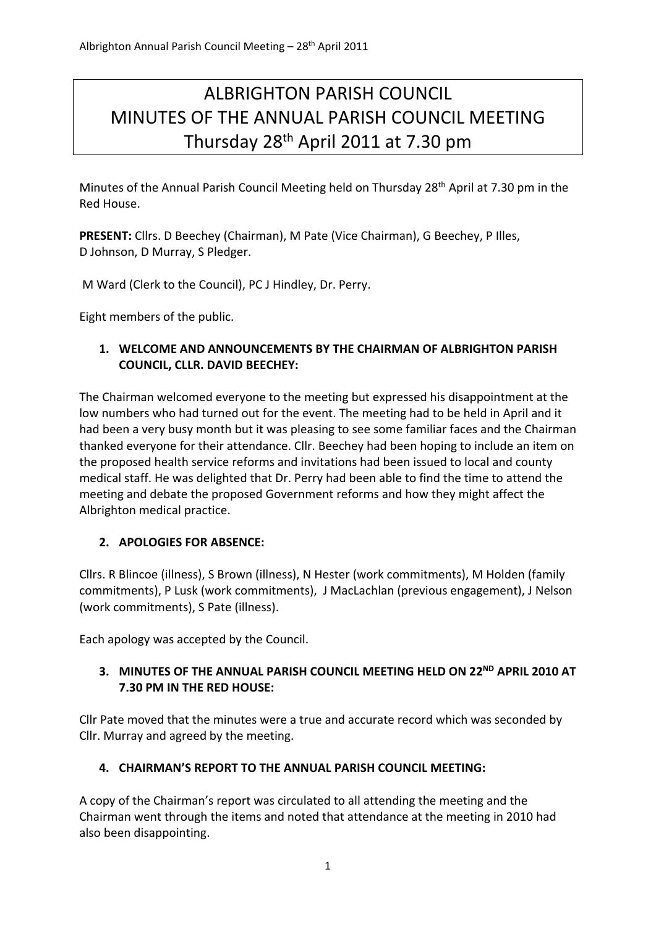# ALBRIGHTON PARISH COUNCIL MINUTES OF THE ANNUAL PARISH COUNCIL MEETING Thursday 28th April 2011 at 7.30 pm

Minutes of the Annual Parish Council Meeting held on Thursday 28th April at 7.30 pm in the Red House.

**PRESENT:** Cllrs. D Beechey (Chairman), M Pate (Vice Chairman), G Beechey, P Illes, D Johnson, D Murray, S Pledger.

M Ward (Clerk to the Council), PC J Hindley, Dr. Perry.

Eight members of the public.

#### **1. WELCOME AND ANNOUNCEMENTS BY THE CHAIRMAN OF ALBRIGHTON PARISH COUNCIL, CLLR. DAVID BEECHEY:**

The Chairman welcomed everyone to the meeting but expressed his disappointment at the low numbers who had turned out for the event. The meeting had to be held in April and it had been a very busy month but it was pleasing to see some familiar faces and the Chairman thanked everyone for their attendance. Cllr. Beechey had been hoping to include an item on the proposed health service reforms and invitations had been issued to local and county medical staff. He was delighted that Dr. Perry had been able to find the time to attend the meeting and debate the proposed Government reforms and how they might affect the Albrighton medical practice.

# **2. APOLOGIES FOR ABSENCE:**

Cllrs. R Blincoe (illness), S Brown (illness), N Hester (work commitments), M Holden (family commitments), P Lusk (work commitments), J MacLachlan (previous engagement), J Nelson (work commitments), S Pate (illness).

Each apology was accepted by the Council.

# **3. MINUTES OF THE ANNUAL PARISH COUNCIL MEETING HELD ON 22ND APRIL 2010 AT 7.30 PM IN THE RED HOUSE:**

Cllr Pate moved that the minutes were a true and accurate record which was seconded by Cllr. Murray and agreed by the meeting.

# **4. CHAIRMAN'S REPORT TO THE ANNUAL PARISH COUNCIL MEETING:**

A copy of the Chairman's report was circulated to all attending the meeting and the Chairman went through the items and noted that attendance at the meeting in 2010 had also been disappointing.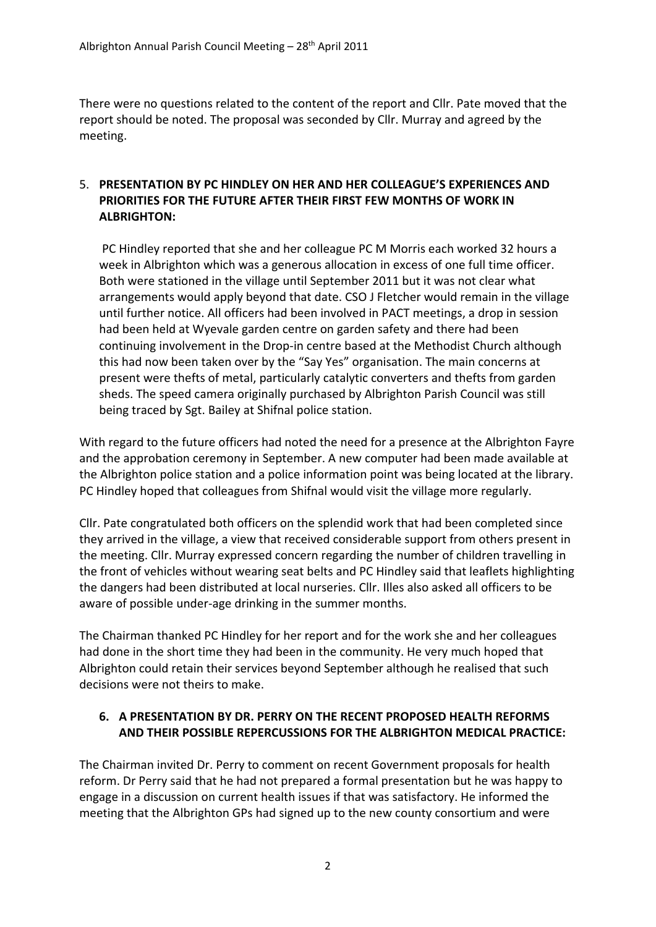There were no questions related to the content of the report and Cllr. Pate moved that the report should be noted. The proposal was seconded by Cllr. Murray and agreed by the meeting.

# 5. **PRESENTATION BY PC HINDLEY ON HER AND HER COLLEAGUE'S EXPERIENCES AND PRIORITIES FOR THE FUTURE AFTER THEIR FIRST FEW MONTHS OF WORK IN ALBRIGHTON:**

PC Hindley reported that she and her colleague PC M Morris each worked 32 hours a week in Albrighton which was a generous allocation in excess of one full time officer. Both were stationed in the village until September 2011 but it was not clear what arrangements would apply beyond that date. CSO J Fletcher would remain in the village until further notice. All officers had been involved in PACT meetings, a drop in session had been held at Wyevale garden centre on garden safety and there had been continuing involvement in the Drop-in centre based at the Methodist Church although this had now been taken over by the "Say Yes" organisation. The main concerns at present were thefts of metal, particularly catalytic converters and thefts from garden sheds. The speed camera originally purchased by Albrighton Parish Council was still being traced by Sgt. Bailey at Shifnal police station.

With regard to the future officers had noted the need for a presence at the Albrighton Fayre and the approbation ceremony in September. A new computer had been made available at the Albrighton police station and a police information point was being located at the library. PC Hindley hoped that colleagues from Shifnal would visit the village more regularly.

Cllr. Pate congratulated both officers on the splendid work that had been completed since they arrived in the village, a view that received considerable support from others present in the meeting. Cllr. Murray expressed concern regarding the number of children travelling in the front of vehicles without wearing seat belts and PC Hindley said that leaflets highlighting the dangers had been distributed at local nurseries. Cllr. Illes also asked all officers to be aware of possible under‐age drinking in the summer months.

The Chairman thanked PC Hindley for her report and for the work she and her colleagues had done in the short time they had been in the community. He very much hoped that Albrighton could retain their services beyond September although he realised that such decisions were not theirs to make.

#### **6. A PRESENTATION BY DR. PERRY ON THE RECENT PROPOSED HEALTH REFORMS AND THEIR POSSIBLE REPERCUSSIONS FOR THE ALBRIGHTON MEDICAL PRACTICE:**

The Chairman invited Dr. Perry to comment on recent Government proposals for health reform. Dr Perry said that he had not prepared a formal presentation but he was happy to engage in a discussion on current health issues if that was satisfactory. He informed the meeting that the Albrighton GPs had signed up to the new county consortium and were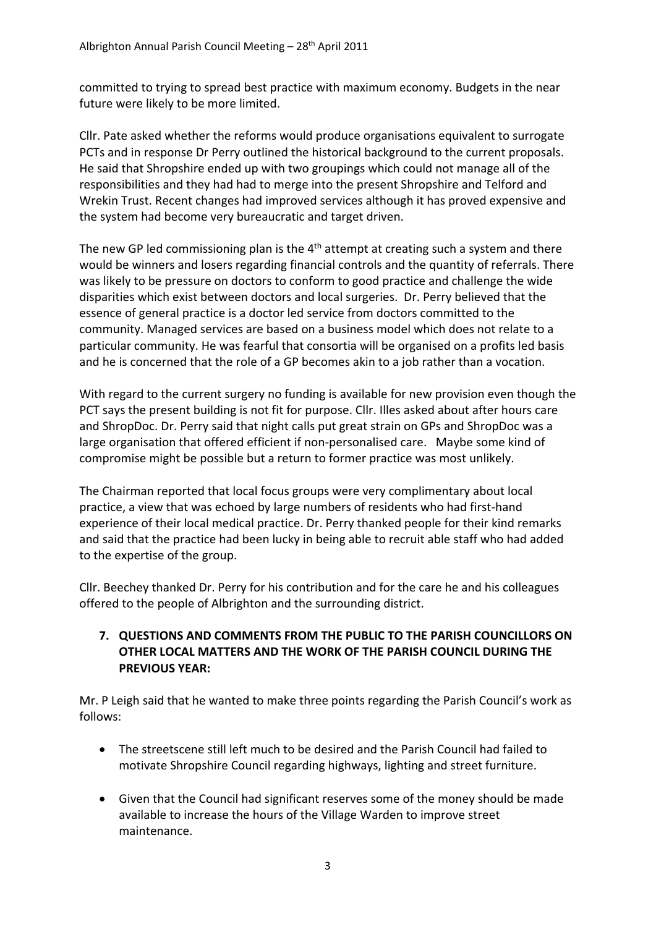committed to trying to spread best practice with maximum economy. Budgets in the near future were likely to be more limited.

Cllr. Pate asked whether the reforms would produce organisations equivalent to surrogate PCTs and in response Dr Perry outlined the historical background to the current proposals. He said that Shropshire ended up with two groupings which could not manage all of the responsibilities and they had had to merge into the present Shropshire and Telford and Wrekin Trust. Recent changes had improved services although it has proved expensive and the system had become very bureaucratic and target driven.

The new GP led commissioning plan is the  $4<sup>th</sup>$  attempt at creating such a system and there would be winners and losers regarding financial controls and the quantity of referrals. There was likely to be pressure on doctors to conform to good practice and challenge the wide disparities which exist between doctors and local surgeries. Dr. Perry believed that the essence of general practice is a doctor led service from doctors committed to the community. Managed services are based on a business model which does not relate to a particular community. He was fearful that consortia will be organised on a profits led basis and he is concerned that the role of a GP becomes akin to a job rather than a vocation.

With regard to the current surgery no funding is available for new provision even though the PCT says the present building is not fit for purpose. Cllr. Illes asked about after hours care and ShropDoc. Dr. Perry said that night calls put great strain on GPs and ShropDoc was a large organisation that offered efficient if non‐personalised care. Maybe some kind of compromise might be possible but a return to former practice was most unlikely.

The Chairman reported that local focus groups were very complimentary about local practice, a view that was echoed by large numbers of residents who had first‐hand experience of their local medical practice. Dr. Perry thanked people for their kind remarks and said that the practice had been lucky in being able to recruit able staff who had added to the expertise of the group.

Cllr. Beechey thanked Dr. Perry for his contribution and for the care he and his colleagues offered to the people of Albrighton and the surrounding district.

#### **7. QUESTIONS AND COMMENTS FROM THE PUBLIC TO THE PARISH COUNCILLORS ON OTHER LOCAL MATTERS AND THE WORK OF THE PARISH COUNCIL DURING THE PREVIOUS YEAR:**

Mr. P Leigh said that he wanted to make three points regarding the Parish Council's work as follows:

- The streetscene still left much to be desired and the Parish Council had failed to motivate Shropshire Council regarding highways, lighting and street furniture.
- Given that the Council had significant reserves some of the money should be made available to increase the hours of the Village Warden to improve street maintenance.